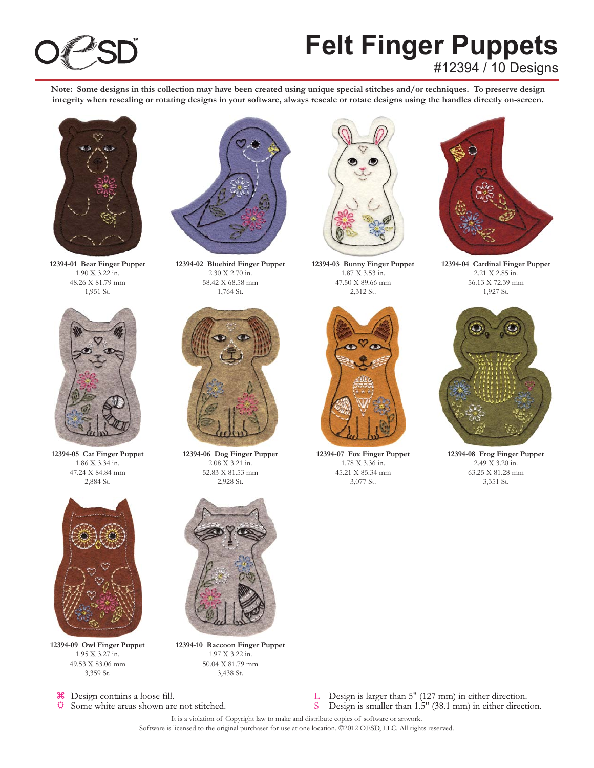### **Felt Finger Puppets** #12394 / 10 Designs

**Note: Some designs in this collection may have been created using unique special stitches and/or techniques. To preserve design integrity when rescaling or rotating designs in your software, always rescale or rotate designs using the handles directly on-screen.**



**12394-01 Bear Finger Puppet** 1.90 X 3.22 in. 48.26 X 81.79 mm 1,951 St.



**12394-05 Cat Finger Puppet** 1.86 X 3.34 in. 47.24 X 84.84 mm 2,884 St.



**12394-09 Owl Finger Puppet** 1.95 X 3.27 in. 49.53 X 83.06 mm 3,359 St.



Some white areas shown are not stitched.



**12394-02 Bluebird Finger Puppet** 2.30 X 2.70 in. 58.42 X 68.58 mm 1,764 St.



**12394-06 Dog Finger Puppet** 2.08 X 3.21 in. 52.83 X 81.53 mm 2,928 St.



**12394-10 Raccoon Finger Puppet** 1.97 X 3.22 in. 50.04 X 81.79 mm 3,438 St.



**12394-03 Bunny Finger Puppet** 1.87 X 3.53 in. 47.50 X 89.66 mm 2,312 St.



**12394-07 Fox Finger Puppet** 1.78 X 3.36 in. 45.21 X 85.34 mm 3,077 St.



**12394-04 Cardinal Finger Puppet** 2.21 X 2.85 in. 56.13 X 72.39 mm 1,927 St.



**12394-08 Frog Finger Puppet** 2.49 X 3.20 in. 63.25 X 81.28 mm 3,351 St.



It is a violation of Copyright law to make and distribute copies of software or artwork. Software is licensed to the original purchaser for use at one location. ©2012 OESD, LLC. All rights reserved.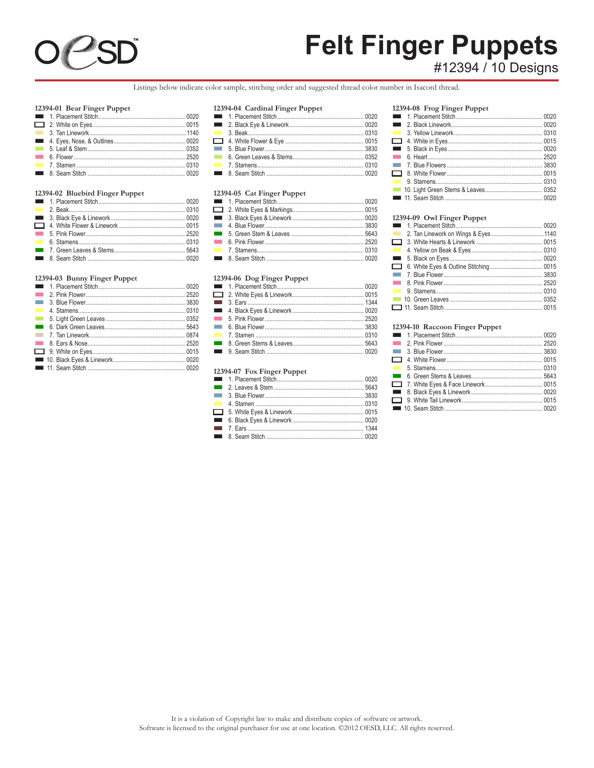

# Felt Finger Puppets

Listings below indicate color sample, stitching order and suggested thread color number in Isacord thread.

#### 12394-01 Bear Finger Puppet

| $12071$ of bear finger fupper |  |
|-------------------------------|--|
|                               |  |
|                               |  |
|                               |  |
|                               |  |
|                               |  |
|                               |  |
|                               |  |
|                               |  |
|                               |  |

#### 12394-02 Bluebird Finger Puppet

#### 12394-03 Bunny Finger Puppet

| <b>Contract</b>          |  |
|--------------------------|--|
| <b>Contract</b>          |  |
| $\mathcal{L}_{\rm{max}}$ |  |
| $\sim 100$               |  |
| $\sim 10$                |  |
| $\sim 100$               |  |
|                          |  |
|                          |  |
|                          |  |
|                          |  |

#### 12394-04 Cardinal Finger Puppet

#### 12394-05 Cat Finger Puppet

#### 12394-06 Dog Finger Puppet

#### 12394-07 Fox Finger Puppet

#### 12394-08 Frog Finger Puppet

| $\sim 10$  |  |
|------------|--|
|            |  |
|            |  |
| $\sim 100$ |  |
|            |  |
|            |  |
| $\sim$     |  |
|            |  |
|            |  |

#### 12394-09 Owl Finger Puppet

| $\Box$ |  |
|--------|--|
|        |  |
|        |  |
|        |  |
|        |  |
|        |  |
|        |  |

#### 12394-10 Raccoon Finger Puppet